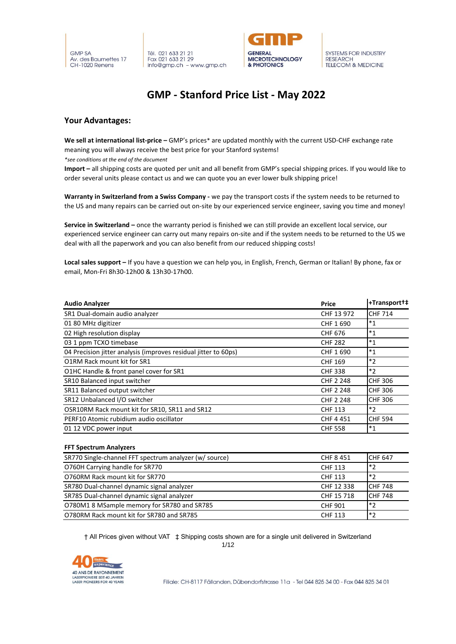



### **GMP - Stanford Price List - May 2022**

#### **Your Advantages:**

**We sell at international list-price –** GMP's prices\* are updated monthly with the current USD-CHF exchange rate meaning you will always receive the best price for your Stanford systems!

*\*see conditions at the end of the document*

**Import –** all shipping costs are quoted per unit and all benefit from GMP's special shipping prices. If you would like to order several units please contact us and we can quote you an ever lower bulk shipping price!

**Warranty in Switzerland from a Swiss Company -** we pay the transport costs if the system needs to be returned to the US and many repairs can be carried out on-site by our experienced service engineer, saving you time and money!

**Service in Switzerland –** once the warranty period is finished we can still provide an excellent local service, our experienced service engineer can carry out many repairs on-site and if the system needs to be returned to the US we deal with all the paperwork and you can also benefit from our reduced shipping costs!

**Local sales support –** If you have a question we can help you, in English, French, German or Italian! By phone, fax or email, Mon-Fri 8h30-12h00 & 13h30-17h00.

| <b>Audio Analyzer</b>                                           | <b>Price</b>     | +Transport+‡   |
|-----------------------------------------------------------------|------------------|----------------|
| SR1 Dual-domain audio analyzer                                  | CHF 13 972       | <b>CHF 714</b> |
| 01 80 MHz digitizer                                             | CHF 1690         | $*_{1}$        |
| 02 High resolution display                                      | <b>CHF 676</b>   | $*_{1}$        |
| 03 1 ppm TCXO timebase                                          | <b>CHF 282</b>   | $*_{1}$        |
| 04 Precision jitter analysis (improves residual jitter to 60ps) | CHF 1690         | $*_{1}$        |
| O1RM Rack mount kit for SR1                                     | <b>CHF 169</b>   | $*_{2}$        |
| O1HC Handle & front panel cover for SR1                         | <b>CHF 338</b>   | $*2$           |
| SR10 Balanced input switcher                                    | <b>CHF 2 248</b> | <b>CHF 306</b> |
| SR11 Balanced output switcher                                   | <b>CHF 2 248</b> | <b>CHF 306</b> |
| SR12 Unbalanced I/O switcher                                    | CHF 2 248        | <b>CHF 306</b> |
| OSR10RM Rack mount kit for SR10, SR11 and SR12                  | <b>CHF 113</b>   | $*_{2}$        |
| PERF10 Atomic rubidium audio oscillator                         | <b>CHF4451</b>   | <b>CHF 594</b> |
| 01 12 VDC power input                                           | <b>CHF 558</b>   | $*_{1}$        |

#### **FFT Spectrum Analyzers**

| SR770 Single-channel FFT spectrum analyzer (w/ source) | <b>CHF 8451</b> | <b>CHF 647</b>  |
|--------------------------------------------------------|-----------------|-----------------|
| O760H Carrying handle for SR770                        | <b>CHF 113</b>  | $*_{2}$         |
| O760RM Rack mount kit for SR770                        | CHF 113         | $ *_2$          |
| SR780 Dual-channel dynamic signal analyzer             | CHF 12 338      | <b>ICHF 748</b> |
| SR785 Dual-channel dynamic signal analyzer             | CHF 15 718      | <b>ICHF 748</b> |
| O780M1 8 MSample memory for SR780 and SR785            | <b>CHF 901</b>  | $*_{2}$         |
| O780RM Rack mount kit for SR780 and SR785              | <b>CHF 113</b>  | $\mathsf{I}^*$  |

† All Prices given without VAT ‡ Shipping costs shown are for a single unit delivered in Switzerland

1/12

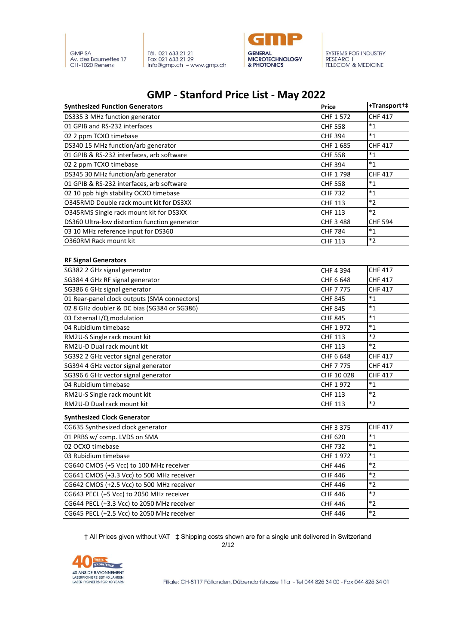



### **GMP - Stanford Price List - May 2022**

| <b>Synthesized Function Generators</b>         | <b>Price</b>   | +Transport+#   |
|------------------------------------------------|----------------|----------------|
| DS335 3 MHz function generator                 | CHF 1 572      | <b>CHF 417</b> |
| 01 GPIB and RS-232 interfaces                  | <b>CHF 558</b> | $^*1$          |
| 02 2 ppm TCXO timebase                         | <b>CHF 394</b> | $^*1$          |
| DS340 15 MHz function/arb generator            | CHF 1685       | <b>CHF 417</b> |
| 01 GPIB & RS-232 interfaces, arb software      | <b>CHF 558</b> | $*_{1}$        |
| 02 2 ppm TCXO timebase                         | <b>CHF 394</b> | $^*1$          |
| DS345 30 MHz function/arb generator            | CHF 1798       | <b>CHF 417</b> |
| 01 GPIB & RS-232 interfaces, arb software      | <b>CHF 558</b> | $*_{1}$        |
| 02 10 ppb high stability OCXO timebase         | <b>CHF 732</b> | $*_{1}$        |
| <b>O345RMD Double rack mount kit for DS3XX</b> | <b>CHF 113</b> | $*_{2}$        |
| O345RMS Single rack mount kit for DS3XX        | <b>CHF 113</b> | $*_{2}$        |
| DS360 Ultra-low distortion function generator  | CHF 3 488      | <b>CHF 594</b> |
| 03 10 MHz reference input for DS360            | <b>CHF 784</b> | $*_{1}$        |
| 0360RM Rack mount kit                          | <b>CHF 113</b> | $*_{2}$        |
| <b>RF Signal Generators</b>                    |                |                |
| SG382 2 GHz signal generator                   | CHF 4 394      | <b>CHF 417</b> |
| SG384 4 GHz RF signal generator                | CHF 6 648      | <b>CHF 417</b> |
| SG386 6 GHz signal generator                   | CHF 7 775      | <b>CHF 417</b> |
| 01 Rear-panel clock outputs (SMA connectors)   | <b>CHF 845</b> | $*_{1}$        |
| 02 8 GHz doubler & DC bias (SG384 or SG386)    | <b>CHF 845</b> | $*_{1}$        |
| 03 External I/Q modulation                     | <b>CHF 845</b> | $*_{1}$        |
| 04 Rubidium timebase                           | CHF 1972       | $^*1$          |
| RM2U-S Single rack mount kit                   | <b>CHF 113</b> | $*_{2}$        |
| RM2U-D Dual rack mount kit                     | <b>CHF 113</b> | $*2$           |
| SG392 2 GHz vector signal generator            | CHF 6 648      | <b>CHF 417</b> |
| SG394 4 GHz vector signal generator            | CHF 7 775      | <b>CHF 417</b> |
| SG396 6 GHz vector signal generator            | CHF 10 028     | <b>CHF 417</b> |
| 04 Rubidium timebase                           | CHF 1972       | $^*1$          |
| RM2U-S Single rack mount kit                   | <b>CHF 113</b> | $*2$           |
| RM2U-D Dual rack mount kit                     | <b>CHF 113</b> | $*_{2}$        |
| <b>Synthesized Clock Generator</b>             |                |                |
| CG635 Synthesized clock generator              | CHF 3 375      | <b>CHF 417</b> |
| 01 PRBS w/ comp. LVDS on SMA                   | <b>CHF 620</b> | $*_{1}$        |
| 02 OCXO timebase                               | <b>CHF 732</b> | $^*1$          |
| 03 Rubidium timebase                           | CHF 1972       | $^*1$          |
| CG640 CMOS (+5 Vcc) to 100 MHz receiver        | <b>CHF 446</b> | $*_{2}$        |
| CG641 CMOS (+3.3 Vcc) to 500 MHz receiver      | <b>CHF 446</b> | $*_{2}$        |
| CG642 CMOS (+2.5 Vcc) to 500 MHz receiver      | <b>CHF 446</b> | $*_{2}$        |
| CG643 PECL (+5 Vcc) to 2050 MHz receiver       | <b>CHF 446</b> | $*_{2}$        |
| CG644 PECL (+3.3 Vcc) to 2050 MHz receiver     | <b>CHF 446</b> | $*2$           |
| CG645 PECL (+2.5 Vcc) to 2050 MHz receiver     | <b>CHF 446</b> | $*2$           |

† All Prices given without VAT ‡ Shipping costs shown are for a single unit delivered in Switzerland 2/12

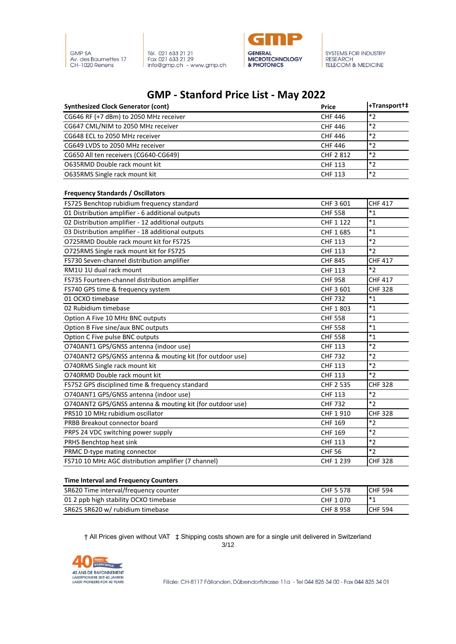



### **GMP - Stanford Price List - May 2022**

| <b>Synthesized Clock Generator (cont)</b> | <b>Price</b>   | +Transport+#  |
|-------------------------------------------|----------------|---------------|
| CG646 RF (+7 dBm) to 2050 MHz receiver    | <b>CHF 446</b> | *つ            |
| CG647 CML/NIM to 2050 MHz receiver        | <b>CHF 446</b> | $*2$          |
| CG648 ECL to 2050 MHz receiver            | <b>CHF 446</b> | $  * \rangle$ |
| CG649 LVDS to 2050 MHz receiver           | <b>CHF 446</b> | $*2$          |
| CG650 All ten receivers (CG640-CG649)     | CHF 2812       | $*_{2}$       |
| O635RMD Double rack mount kit             | <b>CHF 113</b> | *つ            |
| O635RMS Single rack mount kit             | <b>CHF 113</b> | $*_{2}$       |

#### **Frequency Standards / Oscillators**

| FS725 Benchtop rubidium frequency standard                | CHF 3 601      | <b>CHF 417</b> |
|-----------------------------------------------------------|----------------|----------------|
| 01 Distribution amplifier - 6 additional outputs          | <b>CHF 558</b> | $*_{1}$        |
| 02 Distribution amplifier - 12 additional outputs         | CHF 1 122      | $*_{1}$        |
| 03 Distribution amplifier - 18 additional outputs         | CHF 1685       | $*_{1}$        |
| O725RMD Double rack mount kit for FS725                   | <b>CHF 113</b> | $*2$           |
| O725RMS Single rack mount kit for FS725                   | <b>CHF 113</b> | $*2$           |
| FS730 Seven-channel distribution amplifier                | <b>CHF 845</b> | <b>CHF 417</b> |
| RM1U 1U dual rack mount                                   | <b>CHF 113</b> | $*2$           |
| FS735 Fourteen-channel distribution amplifier             | <b>CHF 958</b> | <b>CHF 417</b> |
| FS740 GPS time & frequency system                         | CHF 3 601      | <b>CHF 328</b> |
| 01 OCXO timebase                                          | <b>CHF 732</b> | $*_{1}$        |
| 02 Rubidium timebase                                      | CHF 1 803      | $*_{1}$        |
| Option A Five 10 MHz BNC outputs                          | <b>CHF 558</b> | $*_{1}$        |
| Option B Five sine/aux BNC outputs                        | <b>CHF 558</b> | $*_{1}$        |
| Option C Five pulse BNC outputs                           | <b>CHF 558</b> | $*_{1}$        |
| O740ANT1 GPS/GNSS antenna (indoor use)                    | <b>CHF 113</b> | $*2$           |
| O740ANT2 GPS/GNSS antenna & mouting kit (for outdoor use) | <b>CHF 732</b> | $*_{2}$        |
| O740RMS Single rack mount kit                             | <b>CHF 113</b> | $*2$           |
| O740RMD Double rack mount kit                             | <b>CHF 113</b> | $*2$           |
| FS752 GPS disciplined time & frequency standard           | CHF 2 535      | <b>CHF 328</b> |
| O740ANT1 GPS/GNSS antenna (indoor use)                    | <b>CHF 113</b> | $*_{2}$        |
| O740ANT2 GPS/GNSS antenna & mouting kit (for outdoor use) | <b>CHF 732</b> | $*2$           |
| PRS10 10 MHz rubidium oscillator                          | CHF 1 910      | <b>CHF 328</b> |
| PRBB Breakout connector board                             | <b>CHF 169</b> | $*_{2}$        |
| PRPS 24 VDC switching power supply                        | <b>CHF 169</b> | $*2$           |
| PRHS Benchtop heat sink                                   | <b>CHF 113</b> | $*2$           |
| PRMC D-type mating connector                              | <b>CHF 56</b>  | $*_{2}$        |
| FS710 10 MHz AGC distribution amplifier (7 channel)       | CHF 1 239      | <b>CHF 328</b> |

#### **Time Interval and Frequency Counters**

| SR620 Time interval/frequency counter | CHF 5 578        | <b>ICHF 594</b> |
|---------------------------------------|------------------|-----------------|
| 01 2 ppb high stability OCXO timebase | CHF 1070         | l*1             |
| SR625 SR620 w/ rubidium timebase      | <b>CHF 8 958</b> | <b>ICHF 594</b> |

† All Prices given without VAT ‡ Shipping costs shown are for a single unit delivered in Switzerland 3/12

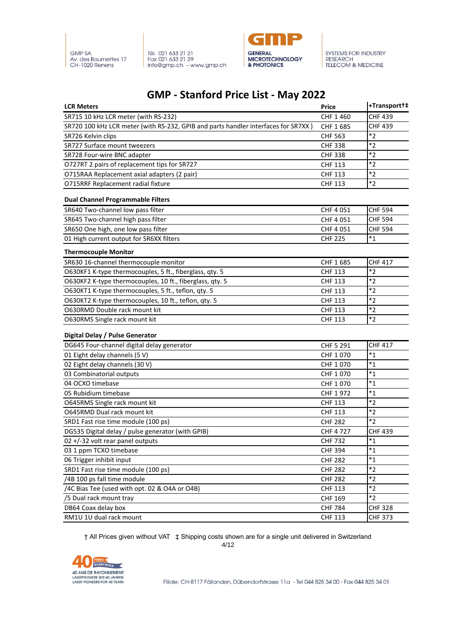

Tél. 021 633 21 21<br>Fax 021 633 21 29<br>info@gmp.ch – www.gmp.ch



SYSTEMS FOR INDUSTRY<br>RESEARCH<br>TELECOM & MEDICINE

### **GMP - Stanford Price List - May 2022**

| <b>LCR Meters</b>                                                                  | <b>Price</b>   | +Transport+#   |
|------------------------------------------------------------------------------------|----------------|----------------|
| SR715 10 kHz LCR meter (with RS-232)                                               | CHF 1460       | <b>CHF 439</b> |
| SR720 100 kHz LCR meter (with RS-232, GPIB and parts handler interfaces for SR7XX) | CHF 1 685      | <b>CHF 439</b> |
| SR726 Kelvin clips                                                                 | <b>CHF 563</b> | $*_{2}$        |
| SR727 Surface mount tweezers                                                       | <b>CHF 338</b> | $*_{2}$        |
| SR728 Four-wire BNC adapter                                                        | <b>CHF 338</b> | $*2$           |
| O727RT 2 pairs of replacement tips for SR727                                       | <b>CHF 113</b> | $*_{2}$        |
| O715RAA Replacement axial adapters (2 pair)                                        | <b>CHF 113</b> | $*_{2}$        |
| O715RRF Replacement radial fixture                                                 | <b>CHF 113</b> | $*_{2}$        |
| <b>Dual Channel Programmable Filters</b>                                           |                |                |
| SR640 Two-channel low pass filter                                                  | CHF 4 051      | <b>CHF 594</b> |
| SR645 Two-channel high pass filter                                                 | CHF 4 051      | <b>CHF 594</b> |
| SR650 One high, one low pass filter                                                | CHF 4 051      | <b>CHF 594</b> |
| 01 High current output for SR6XX filters                                           | <b>CHF 225</b> | $*_{1}$        |
| <b>Thermocouple Monitor</b>                                                        |                |                |
| SR630 16-channel thermocouple monitor                                              | CHF 1 685      | <b>CHF 417</b> |
| O630KF1 K-type thermocouples, 5 ft., fiberglass, qty. 5                            | <b>CHF 113</b> | $*_{2}$        |
| O630KF2 K-type thermocouples, 10 ft., fiberglass, qty. 5                           | <b>CHF 113</b> | $*_{2}$        |
| O630KT1 K-type thermocouples, 5 ft., teflon, qty. 5                                | <b>CHF 113</b> | $*_{2}$        |
| O630KT2 K-type thermocouples, 10 ft., teflon, qty. 5                               | <b>CHF 113</b> | $*_{2}$        |
| O630RMD Double rack mount kit                                                      | <b>CHF 113</b> | $*_{2}$        |
| O630RMS Single rack mount kit                                                      | <b>CHF 113</b> | $*_{2}$        |
| Digital Delay / Pulse Generator                                                    |                |                |
| DG645 Four-channel digital delay generator                                         | CHF 5 291      | <b>CHF 417</b> |
| 01 Eight delay channels (5 V)                                                      | CHF 1070       | $*_{1}$        |
| 02 Eight delay channels (30 V)                                                     | CHF 1070       | $*_{1}$        |
| 03 Combinatorial outputs                                                           | CHF 1070       | $*_{1}$        |
| 04 OCXO timebase                                                                   | CHF 1070       | $*_{1}$        |
| 05 Rubidium timebase                                                               | CHF 1972       | $*1$           |
| O645RMS Single rack mount kit                                                      | <b>CHF 113</b> | $*2$           |
| <b>O645RMD Dual rack mount kit</b>                                                 | <b>CHF 113</b> | $*_{2}$        |
| SRD1 Fast rise time module (100 ps)                                                | <b>CHF 282</b> | $*2$           |
| DG535 Digital delay / pulse generator (with GPIB)                                  | CHF 4 727      | <b>CHF 439</b> |
| 02+/-32 volt rear panel outputs                                                    | <b>CHF 732</b> | $^*1$          |
| 03 1 ppm TCXO timebase                                                             | <b>CHF 394</b> | $*_{1}$        |
| 06 Trigger inhibit input                                                           | <b>CHF 282</b> | $*_{1}$        |
| SRD1 Fast rise time module (100 ps)                                                | <b>CHF 282</b> | $*2$           |
| /4B 100 ps fall time module                                                        | <b>CHF 282</b> | $*_{2}$        |
| /4C Bias Tee (used with opt. 02 & O4A or O4B)                                      | <b>CHF 113</b> | $*2$           |
| /5 Dual rack mount tray                                                            | CHF 169        | $*_{2}$        |
| DB64 Coax delay box                                                                | <b>CHF 784</b> | <b>CHF 328</b> |
| RM1U 1U dual rack mount                                                            | <b>CHF 113</b> | <b>CHF 373</b> |

† All Prices given without VAT ‡ Shipping costs shown are for a single unit delivered in Switzerland

4/12

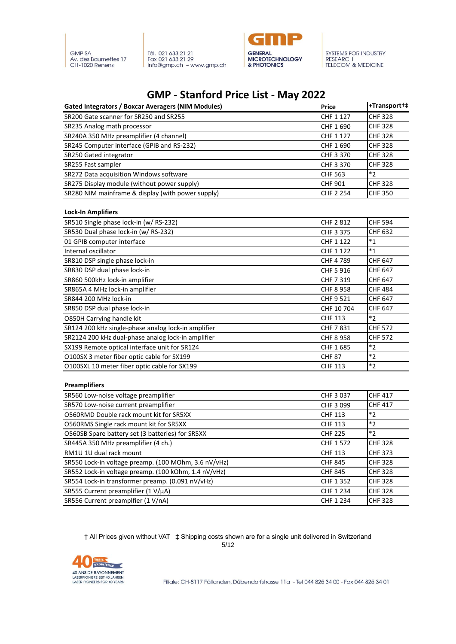



## **GMP - Stanford Price List - May 2022**

| Gated Integrators / Boxcar Averagers (NIM Modules) | <b>Price</b>     | +Transport+‡   |
|----------------------------------------------------|------------------|----------------|
| SR200 Gate scanner for SR250 and SR255             | CHF 1 127        | <b>CHF 328</b> |
| SR235 Analog math processor                        | CHF 1690         | <b>CHF 328</b> |
| SR240A 350 MHz preamplifier (4 channel)            | CHF 1 127        | <b>CHF 328</b> |
| SR245 Computer interface (GPIB and RS-232)         | CHF 1690         | <b>CHF 328</b> |
| SR250 Gated integrator                             | CHF 3 370        | <b>CHF 328</b> |
| SR255 Fast sampler                                 | CHF 3 370        | <b>CHF328</b>  |
| SR272 Data acquisition Windows software            | <b>CHF 563</b>   | $*_{2}$        |
| SR275 Display module (without power supply)        | <b>CHF 901</b>   | <b>CHF 328</b> |
| SR280 NIM mainframe & display (with power supply)  | <b>CHF 2 254</b> | <b>CHF 350</b> |

#### **Lock-In Amplifiers**

| SR510 Single phase lock-in (w/ RS-232)              | <b>CHF 2 812</b> | <b>CHF 594</b> |
|-----------------------------------------------------|------------------|----------------|
| SR530 Dual phase lock-in (w/ RS-232)                | <b>CHF 3 375</b> | <b>CHF 632</b> |
| 01 GPIB computer interface                          | CHF 1 122        | $*_{1}$        |
| Internal oscillator                                 | CHF 1 122        | $*_{1}$        |
| SR810 DSP single phase lock-in                      | CHF 4 789        | <b>CHF 647</b> |
| SR830 DSP dual phase lock-in                        | CHF 5 916        | <b>CHF 647</b> |
| SR860 500kHz lock-in amplifier                      | CHF 7 319        | <b>CHF 647</b> |
| SR865A 4 MHz lock-in amplifier                      | <b>CHF 8 958</b> | <b>CHF 484</b> |
| SR844 200 MHz lock-in                               | CHF 9 521        | <b>CHF 647</b> |
| SR850 DSP dual phase lock-in                        | CHF 10 704       | <b>CHF 647</b> |
| O850H Carrying handle kit                           | <b>CHF 113</b>   | $*_{2}$        |
| SR124 200 kHz single-phase analog lock-in amplifier | <b>CHF 7831</b>  | <b>CHF 572</b> |
| SR2124 200 kHz dual-phase analog lock-in amplifier  | <b>CHF 8 958</b> | <b>CHF 572</b> |
| SX199 Remote optical interface unit for SR124       | CHF 1685         | $*_{2}$        |
| O100SX 3 meter fiber optic cable for SX199          | <b>CHF 87</b>    | $*2$           |
| O100SXL 10 meter fiber optic cable for SX199        | <b>CHF 113</b>   | $*_{2}$        |

#### **Preamplifiers**

| SR560 Low-noise voltage preamplifier                 | CHF 3 037      | <b>CHF 417</b> |
|------------------------------------------------------|----------------|----------------|
| SR570 Low-noise current preamplifier                 | CHF 3 099      | <b>CHF 417</b> |
| O560RMD Double rack mount kit for SR5XX              | <b>CHF 113</b> | $*2$           |
| O560RMS Single rack mount kit for SR5XX              | <b>CHF 113</b> | $*2$           |
| O560SB Spare battery set (3 batteries) for SR5XX     | <b>CHF 225</b> | $*2$           |
| SR445A 350 MHz preamplifier (4 ch.)                  | CHF 1 572      | <b>CHF 328</b> |
| RM1U 1U dual rack mount                              | <b>CHF 113</b> | <b>CHF 373</b> |
| SR550 Lock-in voltage preamp. (100 MOhm, 3.6 nV/vHz) | <b>CHF 845</b> | <b>CHF 328</b> |
| SR552 Lock-in voltage preamp. (100 kOhm, 1.4 nV/vHz) | <b>CHF 845</b> | <b>CHF 328</b> |
| SR554 Lock-in transformer preamp. (0.091 nV/vHz)     | CHF 1352       | <b>CHF 328</b> |
| SR555 Current preamplifier (1 V/µA)                  | CHF 1 234      | <b>CHF 328</b> |
| SR556 Current preamplfier (1 V/nA)                   | CHF 1 234      | <b>CHF 328</b> |

† All Prices given without VAT ‡ Shipping costs shown are for a single unit delivered in Switzerland 5/12

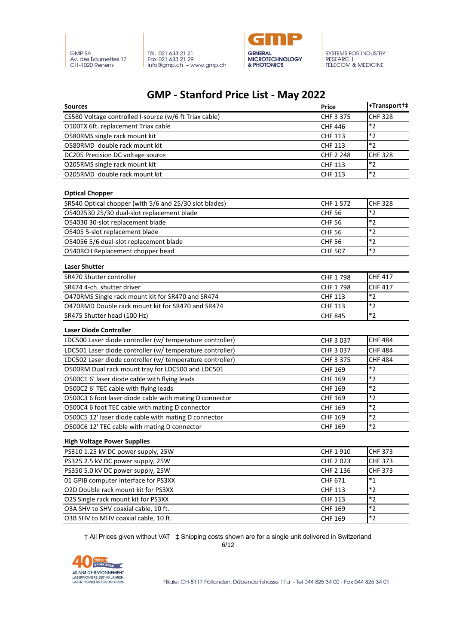



# **GMP - Stanford Price List - May 2022**

| <b>Sources</b>                                            | <b>Price</b>     | +Transport+‡   |
|-----------------------------------------------------------|------------------|----------------|
| CS580 Voltage controlled I-source (w/6 ft Triax cable)    | CHF 3 375        | <b>CHF 328</b> |
| O100TX 6ft. replacement Triax cable                       | <b>CHF 446</b>   | $*_{2}$        |
| O580RMS single rack mount kit                             | <b>CHF 113</b>   | $*_{2}$        |
| O580RMD double rack mount kit                             | <b>CHF 113</b>   | $*2$           |
| DC205 Precision DC voltage source                         | <b>CHF 2 248</b> | <b>CHF 328</b> |
| O205RMS single rack mount kit                             | <b>CHF 113</b>   | $*_{2}$        |
| O205RMD double rack mount kit                             | <b>CHF 113</b>   | $*_{2}$        |
| <b>Optical Chopper</b>                                    |                  |                |
| SR540 Optical chopper (with 5/6 and 25/30 slot blades)    | CHF 1 572        | <b>CHF 328</b> |
| O5402530 25/30 dual-slot replacement blade                | <b>CHF 56</b>    | $*_{2}$        |
| O54030 30-slot replacement blade                          | <b>CHF 56</b>    | $*2$           |
| O5405 5-slot replacement blade                            | <b>CHF 56</b>    | $*_{2}$        |
| O54056 5/6 dual-slot replacement blade                    | <b>CHF 56</b>    | $*_{2}$        |
| O540RCH Replacement chopper head                          | <b>CHF 507</b>   | $*_{2}$        |
| <b>Laser Shutter</b>                                      |                  |                |
| SR470 Shutter controller                                  | CHF 1798         | <b>CHF 417</b> |
| SR474 4-ch. shutter driver                                | CHF 1798         | <b>CHF 417</b> |
| O470RMS Single rack mount kit for SR470 and SR474         | <b>CHF 113</b>   | $*2$           |
| O470RMD Double rack mount kit for SR470 and SR474         | <b>CHF 113</b>   | $*_{2}$        |
| SR475 Shutter head (100 Hz)                               | <b>CHF 845</b>   | $*_{2}$        |
| <b>Laser Diode Controller</b>                             |                  |                |
| LDC500 Laser diode controller (w/ temperature controller) | CHF 3 037        | <b>CHF 484</b> |
| LDC501 Laser diode controller (w/ temperature controller) | CHF 3 037        | <b>CHF 484</b> |
| LDC502 Laser diode controller (w/ temperature controller) | CHF 3 375        | <b>CHF 484</b> |
| O500RM Dual rack mount tray for LDC500 and LDC501         | <b>CHF 169</b>   | $*_{2}$        |
| O500C1 6' laser diode cable with flying leads             | <b>CHF 169</b>   | $*_{2}$        |
| O500C2 6' TEC cable with flying leads                     | <b>CHF 169</b>   | $*_{2}$        |
| O500C3 6 foot laser diode cable with mating D connector   | <b>CHF 169</b>   | $*_{2}$        |
| O500C4 6 foot TEC cable with mating D connector           | <b>CHF 169</b>   | $*_{2}$        |
| O500C5 12' laser diode cable with mating D connector      | <b>CHF 169</b>   | $*_{2}$        |
| O500C6 12' TEC cable with mating D connector              | CHF 169          | $*_{2}$        |
| <b>High Voltage Power Supplies</b>                        |                  |                |
| PS310 1.25 kV DC power supply, 25W                        | CHF 1910         | <b>CHF 373</b> |
| PS325 2.5 kV DC power supply, 25W                         | CHF 2023         | <b>CHF 373</b> |
| PS350 5.0 kV DC power supply, 25W                         | CHF 2 136        | <b>CHF 373</b> |
| 01 GPIB computer interface for PS3XX                      | CHF 671          | $^*1$          |
| O2D Double rack mount kit for PS3XX                       | <b>CHF 113</b>   | $*2$           |
| O2S Single rack mount kit for PS3XX                       | <b>CHF 113</b>   | $*_{2}$        |
| O3A SHV to SHV coaxial cable, 10 ft.                      | <b>CHF 169</b>   | $*_{2}$        |
| O3B SHV to MHV coaxial cable, 10 ft.                      | <b>CHF 169</b>   | $*_{2}$        |

† All Prices given without VAT ‡ Shipping costs shown are for a single unit delivered in Switzerland 6/12

Vears **40 ANS DE RAYONNEMENT<br>LASERPIONIERE SEIT 40 JAHREN<br>LASER PIONEERS FOR 40 YEARS**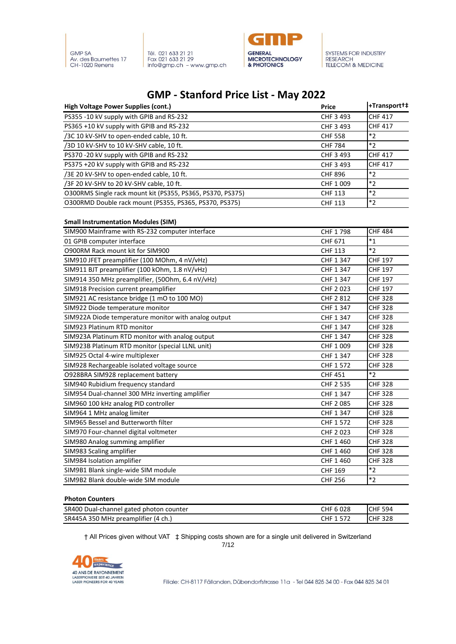



### **GMP - Stanford Price List - May 2022**

| <b>High Voltage Power Supplies (cont.)</b>                 | <b>Price</b>   | +Transport+#   |
|------------------------------------------------------------|----------------|----------------|
| PS355 -10 kV supply with GPIB and RS-232                   | CHF 3 493      | <b>CHF 417</b> |
| PS365 +10 kV supply with GPIB and RS-232                   | CHF 3 493      | <b>CHF 417</b> |
| /3C 10 kV-SHV to open-ended cable, 10 ft.                  | <b>CHF 558</b> | $*_{2}$        |
| /3D 10 kV-SHV to 10 kV-SHV cable, 10 ft.                   | <b>CHF 784</b> | $*_{2}$        |
| PS370 -20 kV supply with GPIB and RS-232                   | CHF 3 493      | <b>CHF 417</b> |
| PS375 +20 kV supply with GPIB and RS-232                   | CHF 3 493      | <b>CHF 417</b> |
| /3E 20 kV-SHV to open-ended cable, 10 ft.                  | <b>CHF 896</b> | $*_{2}$        |
| /3F 20 kV-SHV to 20 kV-SHV cable, 10 ft.                   | CHF 1 009      | $*_{2}$        |
| O300RMS Single rack mount kit (PS355, PS365, PS370, PS375) | <b>CHF 113</b> | $*_{2}$        |
| O300RMD Double rack mount (PS355, PS365, PS370, PS375)     | <b>CHF 113</b> | $*_{2}$        |

#### **Small Instrumentation Modules (SIM)**

| SIM900 Mainframe with RS-232 computer interface      | CHF 1798       | <b>CHF 484</b> |
|------------------------------------------------------|----------------|----------------|
| 01 GPIB computer interface                           | CHF 671        | $*_{1}$        |
| <b>O900RM Rack mount kit for SIM900</b>              | <b>CHF 113</b> | $*2$           |
| SIM910 JFET preamplifier (100 MOhm, 4 nV/vHz)        | CHF 1 347      | <b>CHF 197</b> |
| SIM911 BJT preamplifier (100 kOhm, 1.8 nV/vHz)       | CHF 1 347      | <b>CHF 197</b> |
| SIM914 350 MHz preamplifier, (500hm, 6.4 nV/vHz)     | CHF 1 347      | <b>CHF 197</b> |
| SIM918 Precision current preamplifier                | CHF 2023       | <b>CHF 197</b> |
| SIM921 AC resistance bridge (1 mO to 100 MO)         | CHF 2 812      | <b>CHF 328</b> |
| SIM922 Diode temperature monitor                     | CHF 1 347      | <b>CHF 328</b> |
| SIM922A Diode temperature monitor with analog output | CHF 1 347      | <b>CHF 328</b> |
| SIM923 Platinum RTD monitor                          | CHF 1 347      | <b>CHF 328</b> |
| SIM923A Platinum RTD monitor with analog output      | CHF 1 347      | <b>CHF 328</b> |
| SIM923B Platinum RTD monitor (special LLNL unit)     | CHF 1 009      | <b>CHF 328</b> |
| SIM925 Octal 4-wire multiplexer                      | CHF 1 347      | <b>CHF 328</b> |
| SIM928 Rechargeable isolated voltage source          | CHF 1 572      | <b>CHF 328</b> |
| O928BRA SIM928 replacement battery                   | <b>CHF 451</b> | $*2$           |
| SIM940 Rubidium frequency standard                   | CHF 2 535      | <b>CHF 328</b> |
| SIM954 Dual-channel 300 MHz inverting amplifier      | CHF 1 347      | <b>CHF 328</b> |
| SIM960 100 kHz analog PID controller                 | CHF 2085       | <b>CHF 328</b> |
| SIM964 1 MHz analog limiter                          | CHF 1 347      | <b>CHF 328</b> |
| SIM965 Bessel and Butterworth filter                 | CHF 1 572      | <b>CHF 328</b> |
| SIM970 Four-channel digital voltmeter                | CHF 2023       | <b>CHF 328</b> |
| SIM980 Analog summing amplifier                      | CHF 1 460      | <b>CHF 328</b> |
| SIM983 Scaling amplifier                             | CHF 1 460      | <b>CHF 328</b> |
| SIM984 Isolation amplifier                           | CHF 1 460      | <b>CHF 328</b> |
| SIM9B1 Blank single-wide SIM module                  | <b>CHF 169</b> | $*_{2}$        |
| SIM9B2 Blank double-wide SIM module                  | <b>CHF 256</b> | $*_{2}$        |

#### **Photon Counters**

| SR400                                               | 028 | 594        |
|-----------------------------------------------------|-----|------------|
| Dual-channel gated photon counter                   | CHF | <b>CHE</b> |
| SR445A 350 MHz preamplifier<br><sup>.</sup> (4 ch., | าµ⊧ | <b>HF</b>  |

† All Prices given without VAT ‡ Shipping costs shown are for a single unit delivered in Switzerland

7/12

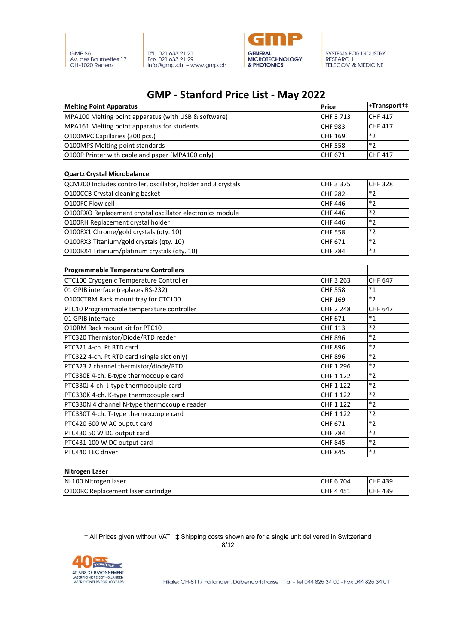



## **GMP - Stanford Price List - May 2022**

| <b>Melting Point Apparatus</b>                                | <b>Price</b>     | +Transport+‡      |
|---------------------------------------------------------------|------------------|-------------------|
| MPA100 Melting point apparatus (with USB & software)          | CHF 3713         | <b>CHF 417</b>    |
| MPA161 Melting point apparatus for students                   | <b>CHF 983</b>   | <b>CHF 417</b>    |
| O100MPC Capillaries (300 pcs.)                                | <b>CHF 169</b>   | $*_{2}$           |
| <b>O100MPS Melting point standards</b>                        | <b>CHF 558</b>   | $*2$              |
| O100P Printer with cable and paper (MPA100 only)              | CHF 671          | <b>CHF 417</b>    |
| <b>Quartz Crystal Microbalance</b>                            |                  |                   |
| QCM200 Includes controller, oscillator, holder and 3 crystals | CHF 3 375        | <b>CHF 328</b>    |
| O100CCB Crystal cleaning basket                               | <b>CHF 282</b>   | $*_{2}$           |
| O100FC Flow cell                                              | <b>CHF 446</b>   | $*_{2}$           |
| O100RXO Replacement crystal oscillator electronics module     | <b>CHF 446</b>   | $*_{2}$           |
| O100RH Replacement crystal holder                             | <b>CHF 446</b>   | $*2$              |
| O100RX1 Chrome/gold crystals (qty. 10)                        | <b>CHF 558</b>   | $*_{2}$           |
| O100RX3 Titanium/gold crystals (qty. 10)                      | CHF 671          | $*_{2}$           |
| O100RX4 Titanium/platinum crystals (qty. 10)                  | <b>CHF 784</b>   | $*_{2}$           |
| <b>Programmable Temperature Controllers</b>                   |                  |                   |
| CTC100 Cryogenic Temperature Controller                       | CHF 3 263        | <b>CHF 647</b>    |
| 01 GPIB interface (replaces RS-232)                           | <b>CHF 558</b>   | $^*1$             |
| O100CTRM Rack mount tray for CTC100                           | <b>CHF 169</b>   | $*2$              |
| PTC10 Programmable temperature controller                     | <b>CHF 2 248</b> | <b>CHF 647</b>    |
| 01 GPIB interface                                             | CHF 671          | $^*1$             |
| O10RM Rack mount kit for PTC10                                | <b>CHF 113</b>   | $*_{2}$           |
| PTC320 Thermistor/Diode/RTD reader                            | <b>CHF 896</b>   | $*_{2}$           |
| PTC321 4-ch. Pt RTD card                                      | <b>CHF 896</b>   | $*_{2}$           |
| PTC322 4-ch. Pt RTD card (single slot only)                   | <b>CHF 896</b>   | $*_{2}$           |
| PTC323 2 channel thermistor/diode/RTD                         | CHF 1 296        | $*_{2}$           |
| PTC330E 4-ch. E-type thermocouple card                        | CHF 1 122        | $*_{2}$           |
| PTC330J 4-ch. J-type thermocouple card                        | CHF 1 122        | $*_{2}$           |
| PTC330K 4-ch. K-type thermocouple card                        | CHF 1 122        | $\boldsymbol{*2}$ |
| PTC330N 4 channel N-type thermocouple reader                  | CHF 1 122        | $*_{2}$           |
| PTC330T 4-ch. T-type thermocouple card                        | CHF 1 122        | $*2$              |
| PTC420 600 W AC ouptut card                                   | CHF 671          | $*_{2}$           |
| PTC430 50 W DC output card                                    | <b>CHF 784</b>   | $*_{2}$           |
| PTC431 100 W DC output card                                   | <b>CHF 845</b>   | $*_{2}$           |
| PTC440 TEC driver                                             | <b>CHF 845</b>   | $*_{2}$           |

#### **Nitrogen Laser**

| NL100 Nitrogen<br>Taser       | 701<br>U4 | 439   |
|-------------------------------|-----------|-------|
| O100RC                        | ב45 '     | 439   |
| . Replacement laser cartridge | CHF       | ,CHF∶ |

† All Prices given without VAT ‡ Shipping costs shown are for a single unit delivered in Switzerland 8/12



Filiale: CH-8117 Fällanden, Dübendorfstrasse 11a - Tel 044 825 34 00 - Fax 044 825 34 01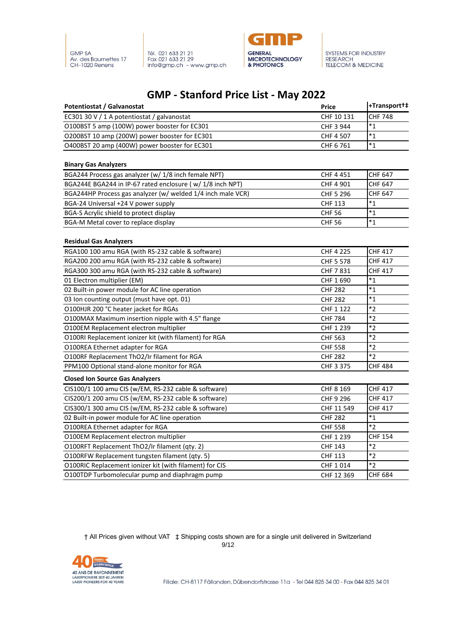



### **GMP - Stanford Price List - May 2022**

| <b>Potentiostat / Galvanostat</b>                                                  | <b>Price</b>     | +Transport+    |
|------------------------------------------------------------------------------------|------------------|----------------|
| EC301 30 V / 1 A potentiostat / galvanostat                                        | CHF 10 131       | <b>CHF 748</b> |
| O100BST 5 amp (100W) power booster for EC301                                       | CHF 3 944        | $*_{1}$        |
| O200BST 10 amp (200W) power booster for EC301                                      | CHF 4 507        | $*_{1}$        |
| O400BST 20 amp (400W) power booster for EC301                                      | CHF 6761         | $*_{1}$        |
| <b>Binary Gas Analyzers</b>                                                        |                  |                |
| BGA244 Process gas analyzer (w/ 1/8 inch female NPT)                               | CHF 4 451        | <b>CHF 647</b> |
| BGA244E BGA244 in IP-67 rated enclosure (w/ 1/8 inch NPT)                          | CHF 4 901        | <b>CHF 647</b> |
| BGA244HP Process gas analyzer (w/ welded 1/4 inch male VCR)                        | CHF 5 296        | <b>CHF 647</b> |
| BGA-24 Universal +24 V power supply                                                | <b>CHF 113</b>   | $*_{1}$        |
| BGA-S Acrylic shield to protect display                                            | <b>CHF 56</b>    | $*_{1}$        |
| BGA-M Metal cover to replace display                                               | <b>CHF 56</b>    | $*_{1}$        |
|                                                                                    |                  |                |
| <b>Residual Gas Analyzers</b><br>RGA100 100 amu RGA (with RS-232 cable & software) | <b>CHF 4 225</b> | <b>CHF 417</b> |
| RGA200 200 amu RGA (with RS-232 cable & software)                                  | CHF 5 578        | <b>CHF 417</b> |
| RGA300 300 amu RGA (with RS-232 cable & software)                                  | CHF 7 831        | <b>CHF 417</b> |
| 01 Electron multiplier (EM)                                                        | CHF 1 690        | $*_{1}$        |
| 02 Built-in power module for AC line operation                                     | <b>CHF 282</b>   | $*_{1}$        |
| 03 Ion counting output (must have opt. 01)                                         | <b>CHF 282</b>   | $*_{1}$        |
| O100HJR 200 °C heater jacket for RGAs                                              | CHF 1 122        | $*_{2}$        |
| O100MAX Maximum insertion nipple with 4.5" flange                                  | <b>CHF 784</b>   | $*_{2}$        |
| O100EM Replacement electron multiplier                                             | CHF 1 239        | $*_{2}$        |
| O100RI Replacement ionizer kit (with filament) for RGA                             | <b>CHF 563</b>   | $*_{2}$        |
| O100REA Ethernet adapter for RGA                                                   | <b>CHF 558</b>   | $*_{2}$        |
| O100RF Replacement ThO2/Ir filament for RGA                                        | <b>CHF 282</b>   | $*_{2}$        |
| PPM100 Optional stand-alone monitor for RGA                                        | CHF 3 375        | <b>CHF 484</b> |
| <b>Closed Ion Source Gas Analyzers</b>                                             |                  |                |
| CIS100/1 100 amu CIS (w/EM, RS-232 cable & software)                               | CHF 8 169        | <b>CHF 417</b> |
| CIS200/1 200 amu CIS (w/EM, RS-232 cable & software)                               | CHF 9 296        | <b>CHF 417</b> |
| CIS300/1 300 amu CIS (w/EM, RS-232 cable & software)                               | CHF 11 549       | <b>CHF 417</b> |
| 02 Built-in power module for AC line operation                                     | <b>CHF 282</b>   | $^*1$          |
| O100REA Ethernet adapter for RGA                                                   | <b>CHF 558</b>   | $*_{2}$        |
| O100EM Replacement electron multiplier                                             | CHF 1 239        | <b>CHF 154</b> |
| O100RFT Replacement ThO2/Ir filament (qty. 2)                                      | <b>CHF 143</b>   | $*_{2}$        |
| O100RFW Replacement tungsten filament (qty. 5)                                     | <b>CHF 113</b>   | $*_{2}$        |
| O100RIC Replacement ionizer kit (with filament) for CIS                            | CHF 1014         | $*_{2}$        |
| O100TDP Turbomolecular pump and diaphragm pump                                     | CHF 12 369       | <b>CHF 684</b> |

† All Prices given without VAT ‡ Shipping costs shown are for a single unit delivered in Switzerland 9/12

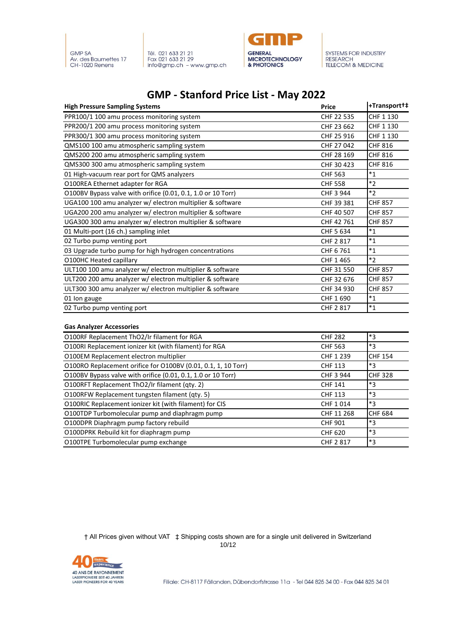



### **GMP - Stanford Price List - May 2022**

| <b>High Pressure Sampling Systems</b>                        | <b>Price</b>   | +Transport+‡   |
|--------------------------------------------------------------|----------------|----------------|
| PPR100/1 100 amu process monitoring system                   | CHF 22 535     | CHF 1 130      |
| PPR200/1 200 amu process monitoring system                   | CHF 23 662     | CHF 1 130      |
| PPR300/1 300 amu process monitoring system                   | CHF 25 916     | CHF 1 130      |
| QMS100 100 amu atmospheric sampling system                   | CHF 27 042     | CHF 816        |
| QMS200 200 amu atmospheric sampling system                   | CHF 28 169     | <b>CHF 816</b> |
| QMS300 300 amu atmospheric sampling system                   | CHF 30 423     | <b>CHF 816</b> |
| 01 High-vacuum rear port for QMS analyzers                   | <b>CHF 563</b> | $*_{1}$        |
| O100REA Ethernet adapter for RGA                             | <b>CHF 558</b> | $*_{2}$        |
| O100BV Bypass valve with orifice (0.01, 0.1, 1.0 or 10 Torr) | CHF 3 944      | $*2$           |
| UGA100 100 amu analyzer w/ electron multiplier & software    | CHF 39 381     | <b>CHF 857</b> |
| UGA200 200 amu analyzer w/ electron multiplier & software    | CHF 40 507     | <b>CHF 857</b> |
| UGA300 300 amu analyzer w/ electron multiplier & software    | CHF 42 761     | <b>CHF 857</b> |
| 01 Multi-port (16 ch.) sampling inlet                        | CHF 5 634      | $*_{1}$        |
| 02 Turbo pump venting port                                   | CHF 2 817      | $^*1$          |
| 03 Upgrade turbo pump for high hydrogen concentrations       | CHF 6761       | $*_{1}$        |
| O100HC Heated capillary                                      | CHF 1 465      | $*2$           |
| ULT100 100 amu analyzer w/ electron multiplier & software    | CHF 31 550     | <b>CHF 857</b> |
| ULT200 200 amu analyzer w/ electron multiplier & software    | CHF 32 676     | <b>CHF 857</b> |
| ULT300 300 amu analyzer w/ electron multiplier & software    | CHF 34 930     | <b>CHF 857</b> |
| 01 Ion gauge                                                 | CHF 1 690      | $*_{1}$        |
| 02 Turbo pump venting port                                   | CHF 2 817      | $*_{1}$        |
| <b>Gas Analyzer Accessories</b>                              |                |                |
| O100RF Replacement ThO2/Ir filament for RGA                  | <b>CHF 282</b> | *3             |
| 0100RL Replacement jonizer kit (with filament) for RGA       | <b>CHF 563</b> | $*3$           |

| <b>OTOOM REPRESENTED LIDZ/IL MANIEM TOL NOA</b>               | <b>CHILLOL</b> | ت              |
|---------------------------------------------------------------|----------------|----------------|
| O100RI Replacement ionizer kit (with filament) for RGA        | <b>CHF 563</b> | $*_{3}$        |
| O100EM Replacement electron multiplier                        | CHF 1 239      | <b>CHF 154</b> |
| O100RO Replacement orifice for O100BV (0.01, 0.1, 1, 10 Torr) | <b>CHF 113</b> | $*_{3}$        |
| O100BV Bypass valve with orifice (0.01, 0.1, 1.0 or 10 Torr)  | CHF 3 944      | <b>CHF 328</b> |
| O100RFT Replacement ThO2/Ir filament (qty. 2)                 | <b>CHF 141</b> | $*_{3}$        |
| O100RFW Replacement tungsten filament (qty. 5)                | <b>CHF 113</b> | $*_{3}$        |
| O100RIC Replacement ionizer kit (with filament) for CIS       | CHF 1014       | $*_{3}$        |
| O100TDP Turbomolecular pump and diaphragm pump                | CHF 11 268     | <b>CHF 684</b> |
| O100DPR Diaphragm pump factory rebuild                        | <b>CHF 901</b> | $*_{3}$        |
| O100DPRK Rebuild kit for diaphragm pump                       | <b>CHF 620</b> | *3             |
| O100TPE Turbomolecular pump exchange                          | CHF 2 817      | $*_{3}$        |
|                                                               |                |                |

† All Prices given without VAT ‡ Shipping costs shown are for a single unit delivered in Switzerland 10/12

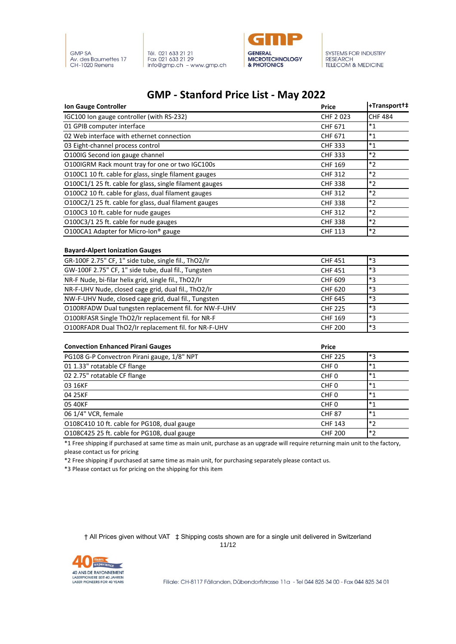





### **GMP - Stanford Price List - May 2022**

| <b>Ion Gauge Controller</b>                             | <b>Price</b>     | +Transport+#                   |
|---------------------------------------------------------|------------------|--------------------------------|
| IGC100 Ion gauge controller (with RS-232)               | CHF 2023         | <b>CHF 484</b>                 |
| 01 GPIB computer interface                              | CHF 671          | $^*1$                          |
| 02 Web interface with ethernet connection               | CHF 671          | $*_{1}$                        |
| 03 Eight-channel process control                        | <b>CHF 333</b>   | $*_{1}$                        |
| O100IG Second ion gauge channel                         | <b>CHF 333</b>   | $*2$                           |
| O100IGRM Rack mount tray for one or two IGC100s         | <b>CHF 169</b>   | $*2$                           |
| O100C1 10 ft. cable for glass, single filament gauges   | <b>CHF 312</b>   | $*2$                           |
| O100C1/1 25 ft. cable for glass, single filament gauges | <b>CHF 338</b>   | $*2$                           |
| O100C2 10 ft. cable for glass, dual filament gauges     | <b>CHF 312</b>   | $*2$                           |
| O100C2/1 25 ft. cable for glass, dual filament gauges   | <b>CHF 338</b>   | $*_{2}$                        |
| O100C3 10 ft. cable for nude gauges                     | <b>CHF 312</b>   | $*_{2}$                        |
| O100C3/1 25 ft. cable for nude gauges                   | <b>CHF 338</b>   | $*2$                           |
| O100CA1 Adapter for Micro-Ion® gauge                    | <b>CHF 113</b>   | $*2$                           |
| <b>Bayard-Alpert Ionization Gauges</b>                  |                  |                                |
| GR-100F 2.75" CF, 1" side tube, single fil., ThO2/Ir    | <b>CHF 451</b>   | $*3$                           |
| GW-100F 2.75" CF, 1" side tube, dual fil., Tungsten     | <b>CHF 451</b>   | *3                             |
| NR-F Nude, bi-filar helix grid, single fil., ThO2/Ir    | CHF 609          | $*3$                           |
| NR-F-UHV Nude, closed cage grid, dual fil., ThO2/Ir     | <b>CHF 620</b>   | *3                             |
| NW-F-UHV Nude, closed cage grid, dual fil., Tungsten    | <b>CHF 645</b>   | *3                             |
| O100RFADW Dual tungsten replacement fil. for NW-F-UHV   | <b>CHF 225</b>   | $*3$                           |
| O100RFASR Single ThO2/Ir replacement fil. for NR-F      | CHF 169          | *3                             |
| O100RFADR Dual ThO2/Ir replacement fil. for NR-F-UHV    | <b>CHF 200</b>   | *З                             |
| <b>Convection Enhanced Pirani Gauges</b>                | <b>Price</b>     |                                |
| PG108 G-P Convectron Pirani gauge, 1/8" NPT             | <b>CHF 225</b>   | $\overline{\ddot{\mathbf{3}}}$ |
| 01 1.33" rotatable CF flange                            | CHF <sub>0</sub> | $*_{1}$                        |
| 02 2.75" rotatable CF flange                            | CHF <sub>0</sub> | $*_{1}$                        |
| 03 16KF                                                 | CHF <sub>0</sub> | $*_{1}$                        |
| 04 25KF                                                 | CHF <sub>0</sub> | $*_{1}$                        |
| 05 40KF                                                 | CHF <sub>0</sub> | $*_{1}$                        |
| 06 1/4" VCR, female                                     | <b>CHF 87</b>    | $*_{1}$                        |
| O108C410 10 ft. cable for PG108, dual gauge             | <b>CHF 143</b>   | $*2$                           |
| O108C425 25 ft. cable for PG108, dual gauge             | <b>CHF 200</b>   | $*2$                           |

\*1 Free shipping if purchased at same time as main unit, purchase as an upgrade will require returning main unit to the factory, please contact us for pricing

\*2 Free shipping if purchased at same time as main unit, for purchasing separately please contact us.

\*3 Please contact us for pricing on the shipping for this item

† All Prices given without VAT ‡ Shipping costs shown are for a single unit delivered in Switzerland 11/12